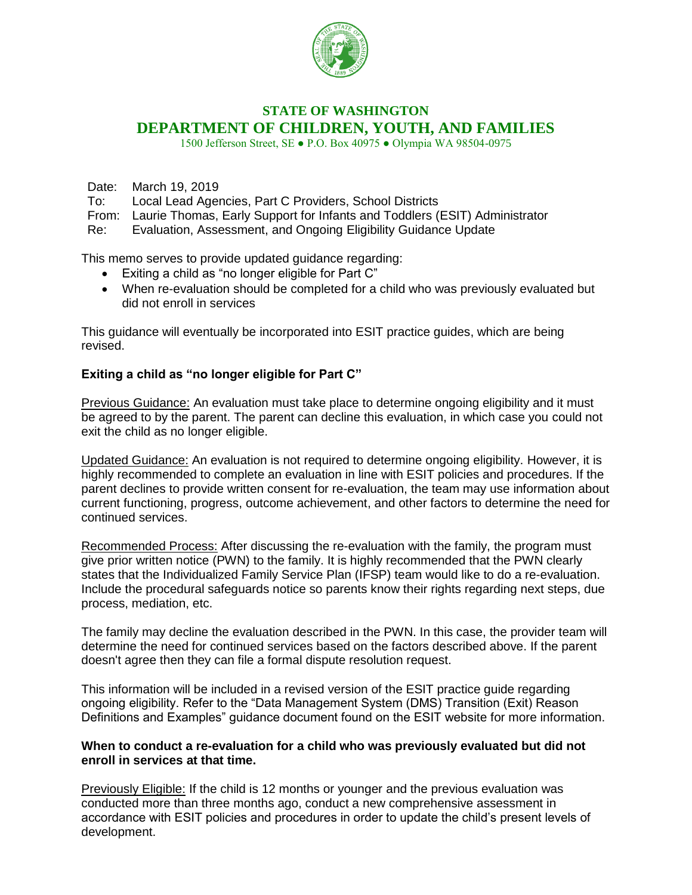

## **STATE OF WASHINGTON DEPARTMENT OF CHILDREN, YOUTH, AND FAMILIES**

1500 Jefferson Street, SE ● P.O. Box 40975 ● Olympia WA 98504-0975

Date: March 19, 2019

To: Local Lead Agencies, Part C Providers, School Districts

From: Laurie Thomas, Early Support for Infants and Toddlers (ESIT) Administrator

Re: Evaluation, Assessment, and Ongoing Eligibility Guidance Update

This memo serves to provide updated guidance regarding:

- Exiting a child as "no longer eligible for Part C"
- When re-evaluation should be completed for a child who was previously evaluated but did not enroll in services

This guidance will eventually be incorporated into ESIT practice guides, which are being revised.

## **Exiting a child as "no longer eligible for Part C"**

Previous Guidance: An evaluation must take place to determine ongoing eligibility and it must be agreed to by the parent. The parent can decline this evaluation, in which case you could not exit the child as no longer eligible.

Updated Guidance: An evaluation is not required to determine ongoing eligibility. However, it is highly recommended to complete an evaluation in line with ESIT policies and procedures. If the parent declines to provide written consent for re-evaluation, the team may use information about current functioning, progress, outcome achievement, and other factors to determine the need for continued services.

Recommended Process: After discussing the re-evaluation with the family, the program must give prior written notice (PWN) to the family. It is highly recommended that the PWN clearly states that the Individualized Family Service Plan (IFSP) team would like to do a re-evaluation. Include the procedural safeguards notice so parents know their rights regarding next steps, due process, mediation, etc.

The family may decline the evaluation described in the PWN. In this case, the provider team will determine the need for continued services based on the factors described above. If the parent doesn't agree then they can file a formal dispute resolution request.

This information will be included in a revised version of the ESIT practice guide regarding ongoing eligibility. Refer to the "Data Management System (DMS) Transition (Exit) Reason Definitions and Examples" guidance document found on the ESIT website for more information.

## **When to conduct a re-evaluation for a child who was previously evaluated but did not enroll in services at that time.**

Previously Eligible: If the child is 12 months or younger and the previous evaluation was conducted more than three months ago, conduct a new comprehensive assessment in accordance with ESIT policies and procedures in order to update the child's present levels of development.